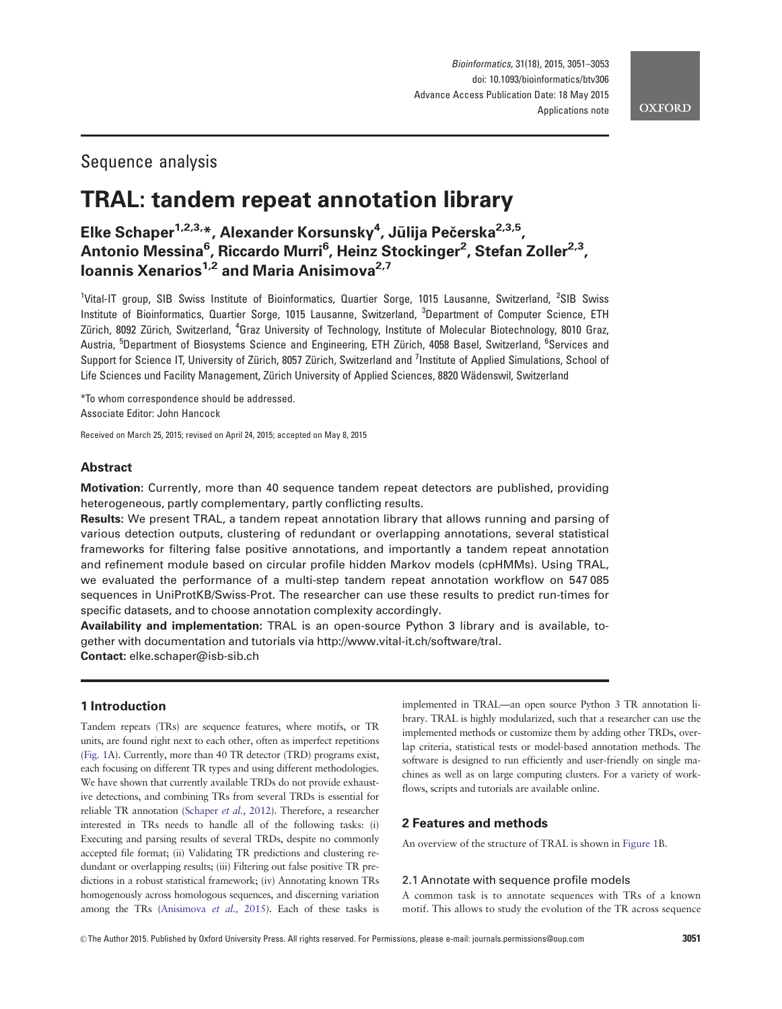# Sequence analysis

# TRAL: tandem repeat annotation library

Elke Schaper<sup>1,2,3,</sup>\*, Alexander Korsunsky<sup>4</sup>, Jūlija Pečerska<sup>2,3,5</sup>, Antonio Messina<sup>6</sup>, Riccardo Murri<sup>6</sup>, Heinz Stockinger<sup>2</sup>, Stefan Zoller<sup>2,3</sup>, Ioannis Xenarios<sup>1,2</sup> and Maria Anisimova<sup>2,7</sup>

<sup>1</sup>Vital-IT group, SIB Swiss Institute of Bioinformatics, Quartier Sorge, 1015 Lausanne, Switzerland, <sup>2</sup>SIB Swiss Institute of Bioinformatics, Quartier Sorge, 1015 Lausanne, Switzerland, <sup>3</sup>Department of Computer Science, ETH Zürich, 8092 Zürich, Switzerland, <sup>4</sup>Graz University of Technology, Institute of Molecular Biotechnology, 8010 Graz, Austria, <sup>5</sup>Department of Biosystems Science and Engineering, ETH Zürich, 4058 Basel, Switzerland, <sup>6</sup>Services and Support for Science IT, University of Zürich, 8057 Zürich, Switzerland and <sup>7</sup>Institute of Applied Simulations, School of Life Sciences und Facility Management, Zürich University of Applied Sciences, 8820 Wädenswil, Switzerland

\*To whom correspondence should be addressed. Associate Editor: John Hancock

Received on March 25, 2015; revised on April 24, 2015; accepted on May 8, 2015

# Abstract

Motivation: Currently, more than 40 sequence tandem repeat detectors are published, providing heterogeneous, partly complementary, partly conflicting results.

Results: We present TRAL, a tandem repeat annotation library that allows running and parsing of various detection outputs, clustering of redundant or overlapping annotations, several statistical frameworks for filtering false positive annotations, and importantly a tandem repeat annotation and refinement module based on circular profile hidden Markov models (cpHMMs). Using TRAL, we evaluated the performance of a multi-step tandem repeat annotation workflow on 547 085 sequences in UniProtKB/Swiss-Prot. The researcher can use these results to predict run-times for specific datasets, and to choose annotation complexity accordingly.

Availability and implementation: TRAL is an open-source Python 3 library and is available, together with documentation and tutorials via<http://www.vital-it.ch/software/tral>. Contact: elke.schaper@isb-sib.ch

## 1 Introduction

Tandem repeats (TRs) are sequence features, where motifs, or TR units, are found right next to each other, often as imperfect repetitions ([Fig. 1](#page-1-0)A). Currently, more than 40 TR detector (TRD) programs exist, each focusing on different TR types and using different methodologies. We have shown that currently available TRDs do not provide exhaustive detections, and combining TRs from several TRDs is essential for reliable TR annotation [\(Schaper](#page-2-0) et al., 2012). Therefore, a researcher interested in TRs needs to handle all of the following tasks: (i) Executing and parsing results of several TRDs, despite no commonly accepted file format; (ii) Validating TR predictions and clustering redundant or overlapping results; (iii) Filtering out false positive TR predictions in a robust statistical framework; (iv) Annotating known TRs homogenously across homologous sequences, and discerning variation among the TRs [\(Anisimova](#page-2-0) et al., 2015). Each of these tasks is implemented in TRAL—an open source Python 3 TR annotation library. TRAL is highly modularized, such that a researcher can use the implemented methods or customize them by adding other TRDs, overlap criteria, statistical tests or model-based annotation methods. The software is designed to run efficiently and user-friendly on single machines as well as on large computing clusters. For a variety of workflows, scripts and tutorials are available online.

#### 2 Features and methods

An overview of the structure of TRAL is shown in [Figure 1B](#page-1-0).

#### 2.1 Annotate with sequence profile models

A common task is to annotate sequences with TRs of a known motif. This allows to study the evolution of the TR across sequence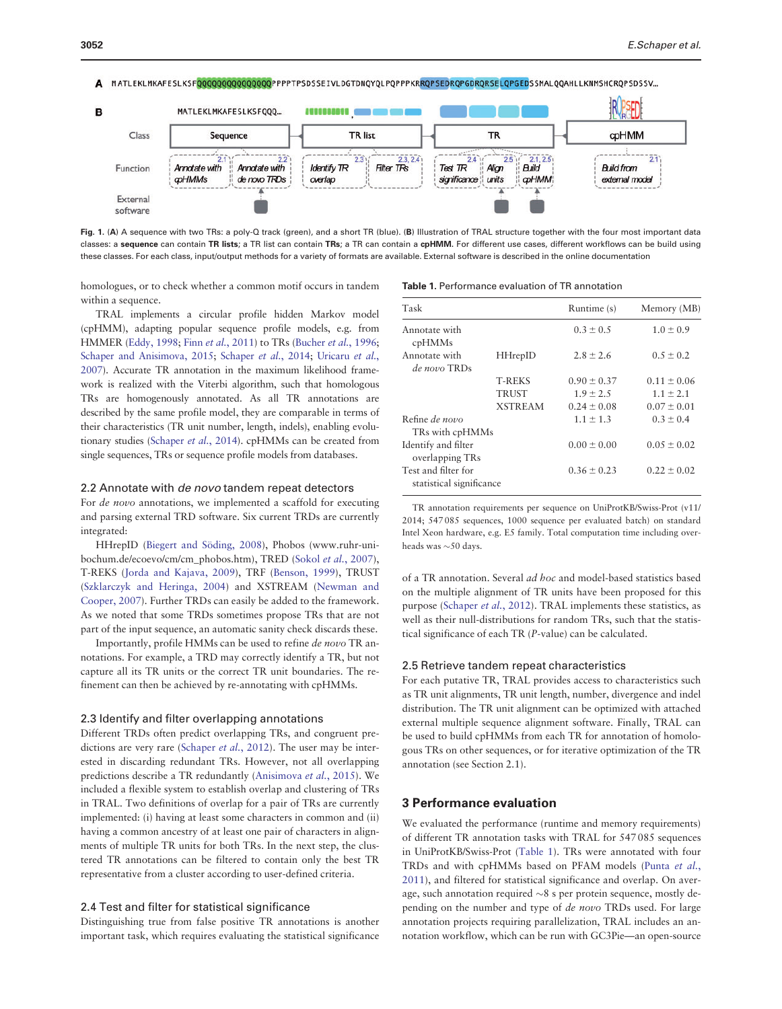<span id="page-1-0"></span>

Fig. 1. (A) A sequence with two TRs: a poly-Q track (green), and a short TR (blue). (B) Illustration of TRAL structure together with the four most important data classes: a sequence can contain TR lists; a TR list can contain TRs; a TR can contain a cpHMM. For different use cases, different workflows can be build using these classes. For each class, input/output methods for a variety of formats are available. External software is described in the online documentation

homologues, or to check whether a common motif occurs in tandem within a sequence.

TRAL implements a circular profile hidden Markov model (cpHMM), adapting popular sequence profile models, e.g. from HMMER ([Eddy, 1998](#page-2-0); Finn et al.[, 2011](#page-2-0)) to TRs [\(Bucher](#page-2-0) et al., 1996; [Schaper and Anisimova, 2015](#page-2-0); [Schaper](#page-2-0) et al., 2014; [Uricaru](#page-2-0) et al., [2007](#page-2-0)). Accurate TR annotation in the maximum likelihood framework is realized with the Viterbi algorithm, such that homologous TRs are homogenously annotated. As all TR annotations are described by the same profile model, they are comparable in terms of their characteristics (TR unit number, length, indels), enabling evolutionary studies ([Schaper](#page-2-0) et al., 2014). cpHMMs can be created from single sequences, TRs or sequence profile models from databases.

### 2.2 Annotate with *de novo* tandem repeat detectors

For de novo annotations, we implemented a scaffold for executing and parsing external TRD software. Six current TRDs are currently integrated:

HHrepID (Biegert and Söding, 2008), Phobos ([www.ruhr-uni](http://www.ruhr-uni-bochum.de/ecoevo/cm/cm_phobos.htm)[bochum.de/ecoevo/cm/cm\\_phobos.htm\)](http://www.ruhr-uni-bochum.de/ecoevo/cm/cm_phobos.htm), TRED (Sokol et al.[, 2007](#page-2-0)), T-REKS ([Jorda and Kajava, 2009](#page-2-0)), TRF [\(Benson, 1999\)](#page-2-0), TRUST ([Szklarczyk and Heringa, 2004\)](#page-2-0) and XSTREAM [\(Newman and](#page-2-0) [Cooper, 2007\)](#page-2-0). Further TRDs can easily be added to the framework. As we noted that some TRDs sometimes propose TRs that are not part of the input sequence, an automatic sanity check discards these.

Importantly, profile HMMs can be used to refine de novo TR annotations. For example, a TRD may correctly identify a TR, but not capture all its TR units or the correct TR unit boundaries. The refinement can then be achieved by re-annotating with cpHMMs.

#### 2.3 Identify and filter overlapping annotations

Different TRDs often predict overlapping TRs, and congruent pre-dictions are very rare ([Schaper](#page-2-0) et al., 2012). The user may be interested in discarding redundant TRs. However, not all overlapping predictions describe a TR redundantly [\(Anisimova](#page-2-0) et al.[, 2015](#page-2-0)). We included a flexible system to establish overlap and clustering of TRs in TRAL. Two definitions of overlap for a pair of TRs are currently implemented: (i) having at least some characters in common and (ii) having a common ancestry of at least one pair of characters in alignments of multiple TR units for both TRs. In the next step, the clustered TR annotations can be filtered to contain only the best TR representative from a cluster according to user-defined criteria.

#### 2.4 Test and filter for statistical significance

Distinguishing true from false positive TR annotations is another important task, which requires evaluating the statistical significance

|  |  |  |  | <b>Table 1.</b> Performance evaluation of TR annotation |
|--|--|--|--|---------------------------------------------------------|
|--|--|--|--|---------------------------------------------------------|

| Task                                            |                                          | Runtime (s)                                         | Memory (MB)                                         |
|-------------------------------------------------|------------------------------------------|-----------------------------------------------------|-----------------------------------------------------|
| Annotate with<br>cpHMMs                         |                                          | $0.3 \pm 0.5$                                       | $1.0 \pm 0.9$                                       |
| Annotate with<br>de novo TRDs                   | <b>HHrepID</b>                           |                                                     | $0.5 \pm 0.2$                                       |
|                                                 | <b>T-REKS</b><br>TRUST<br><b>XSTREAM</b> | $0.90 \pm 0.37$<br>$1.9 \pm 2.5$<br>$0.24 \pm 0.08$ | $0.11 \pm 0.06$<br>$1.1 \pm 2.1$<br>$0.07 \pm 0.01$ |
| Refine de novo<br>TRs with cpHMMs               |                                          | $1.1 \pm 1.3$                                       | $0.3 \pm 0.4$                                       |
| Identify and filter<br>overlapping TRs          |                                          | $0.00 \pm 0.00$                                     | $0.05 \pm 0.02$                                     |
| Test and filter for<br>statistical significance |                                          | $0.36 \pm 0.23$                                     | $0.22 \pm 0.02$                                     |

TR annotation requirements per sequence on UniProtKB/Swiss-Prot (v11/ 2014; 547 085 sequences, 1000 sequence per evaluated batch) on standard Intel Xeon hardware, e.g. E5 family. Total computation time including overheads was  ${\sim}50$  days.

of a TR annotation. Several ad hoc and model-based statistics based on the multiple alignment of TR units have been proposed for this purpose [\(Schaper](#page-2-0) et al., 2012). TRAL implements these statistics, as well as their null-distributions for random TRs, such that the statistical significance of each TR (P-value) can be calculated.

#### 2.5 Retrieve tandem repeat characteristics

For each putative TR, TRAL provides access to characteristics such as TR unit alignments, TR unit length, number, divergence and indel distribution. The TR unit alignment can be optimized with attached external multiple sequence alignment software. Finally, TRAL can be used to build cpHMMs from each TR for annotation of homologous TRs on other sequences, or for iterative optimization of the TR annotation (see Section 2.1).

# 3 Performance evaluation

We evaluated the performance (runtime and memory requirements) of different TR annotation tasks with TRAL for 547 085 sequences in UniProtKB/Swiss-Prot (Table 1). TRs were annotated with four TRDs and with cpHMMs based on PFAM models ([Punta](#page-2-0) et al., [2011\)](#page-2-0), and filtered for statistical significance and overlap. On average, such annotation required  $\sim 8$  s per protein sequence, mostly depending on the number and type of de novo TRDs used. For large annotation projects requiring parallelization, TRAL includes an annotation workflow, which can be run with GC3Pie—an open-source